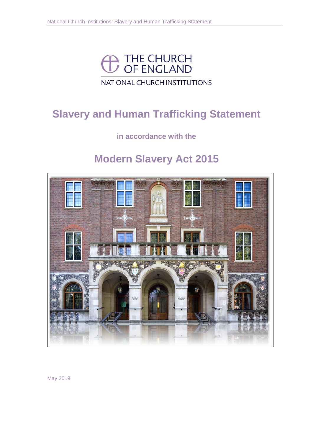

# NATIONAL CHURCH INSTITUTIONS

# **Slavery and Human Trafficking Statement**

# **in accordance with the**

# **Modern Slavery Act 2015**



May 2019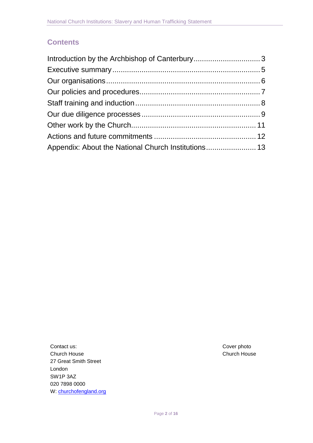## **Contents**

| Appendix: About the National Church Institutions 13 |  |
|-----------------------------------------------------|--|

Contact us: Contact us: Cover photo Church House Church House 27 Great Smith Street London SW1P 3AZ 020 7898 0000 W[: churchofengland.org](http://www.churchofengland.org/)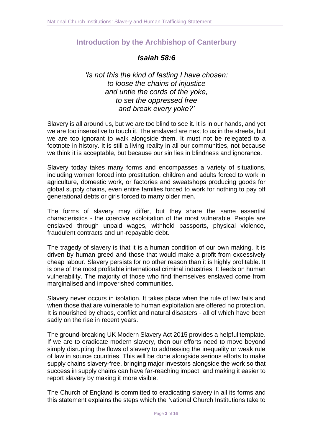### <span id="page-2-0"></span>**Introduction by the Archbishop of Canterbury**

## *Isaiah 58:6*

*'Is not this the kind of fasting I have chosen: to loose the chains of injustice and untie the cords of the yoke, to set the oppressed free and break every yoke?'*

Slavery is all around us, but we are too blind to see it. It is in our hands, and yet we are too insensitive to touch it. The enslaved are next to us in the streets, but we are too ignorant to walk alongside them. It must not be relegated to a footnote in history. It is still a living reality in all our communities, not because we think it is acceptable, but because our sin lies in blindness and ignorance.

Slavery today takes many forms and encompasses a variety of situations, including women forced into prostitution, children and adults forced to work in agriculture, domestic work, or factories and sweatshops producing goods for global supply chains, even entire families forced to work for nothing to pay off generational debts or girls forced to marry older men.

The forms of slavery may differ, but they share the same essential characteristics - the coercive exploitation of the most vulnerable. People are enslaved through unpaid wages, withheld passports, physical violence, fraudulent contracts and un-repayable debt.

The tragedy of slavery is that it is a human condition of our own making. It is driven by human greed and those that would make a profit from excessively cheap labour. Slavery persists for no other reason than it is highly profitable. It is one of the most profitable international criminal industries. It feeds on human vulnerability. The majority of those who find themselves enslaved come from marginalised and impoverished communities.

Slavery never occurs in isolation. It takes place when the rule of law fails and when those that are vulnerable to human exploitation are offered no protection. It is nourished by chaos, conflict and natural disasters - all of which have been sadly on the rise in recent years.

The ground-breaking UK Modern Slavery Act 2015 provides a helpful template. If we are to eradicate modern slavery, then our efforts need to move beyond simply disrupting the flows of slavery to addressing the inequality or weak rule of law in source countries. This will be done alongside serious efforts to make supply chains slavery-free, bringing major investors alongside the work so that success in supply chains can have far-reaching impact, and making it easier to report slavery by making it more visible.

The Church of England is committed to eradicating slavery in all its forms and this statement explains the steps which the National Church Institutions take to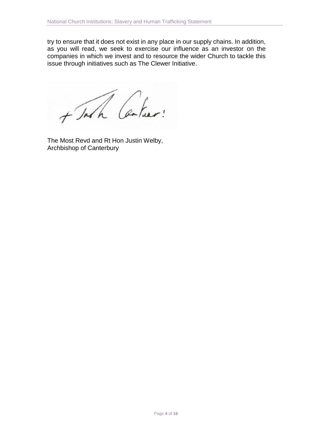try to ensure that it does not exist in any place in our supply chains. In addition, as you will read, we seek to exercise our influence as an investor on the companies in which we invest and to resource the wider Church to tackle this issue through initiatives such as The Clewer Initiative.

+ John Carlier!

The Most Revd and Rt Hon Justin Welby, Archbishop of Canterbury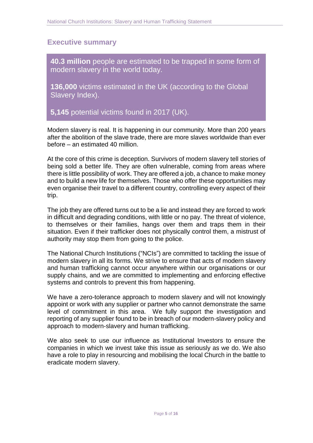#### <span id="page-4-0"></span>**Executive summary**

**40.3 million** people are estimated to be trapped in some form of modern slavery in the world today.

**136,000** victims estimated in the UK (according to the Global Slavery Index).

**5,145** potential victims found in 2017 (UK).

Modern slavery is real. It is happening in our community. More than 200 years after the abolition of the slave trade, there are more slaves worldwide than ever before – an estimated 40 million.

At the core of this crime is deception. Survivors of modern slavery tell stories of being sold a better life. They are often vulnerable, coming from areas where there is little possibility of work. They are offered a job, a chance to make money and to build a new life for themselves. Those who offer these opportunities may even organise their travel to a different country, controlling every aspect of their trip.

The job they are offered turns out to be a lie and instead they are forced to work in difficult and degrading conditions, with little or no pay. The threat of violence, to themselves or their families, hangs over them and traps them in their situation. Even if their trafficker does not physically control them, a mistrust of authority may stop them from going to the police.

The National Church Institutions ("NCIs") are committed to tackling the issue of modern slavery in all its forms. We strive to ensure that acts of modern slavery and human trafficking cannot occur anywhere within our organisations or our supply chains, and we are committed to implementing and enforcing effective systems and controls to prevent this from happening.

We have a zero-tolerance approach to modern slavery and will not knowingly appoint or work with any supplier or partner who cannot demonstrate the same level of commitment in this area. We fully support the investigation and reporting of any supplier found to be in breach of our modern-slavery policy and approach to modern-slavery and human trafficking.

We also seek to use our influence as Institutional Investors to ensure the companies in which we invest take this issue as seriously as we do. We also have a role to play in resourcing and mobilising the local Church in the battle to eradicate modern slavery.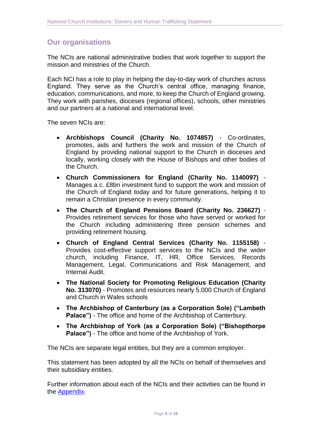#### <span id="page-5-0"></span>**Our organisations**

The NCIs are national administrative bodies that work together to support the mission and ministries of the Church.

Each NCI has a role to play in helping the day-to-day work of churches across England. They serve as the Church's central office, managing finance, education, communications, and more, to keep the Church of England growing. They work with parishes, dioceses (regional offices), schools, other ministries and our partners at a national and international level.

The seven NCIs are:

- **Archbishops Council (Charity No. 1074857)** Co-ordinates, promotes, aids and furthers the work and mission of the Church of England by providing national support to the Church in dioceses and locally, working closely with the House of Bishops and other bodies of the Church.
- **Church Commissioners for England (Charity No. 1140097)** Manages a c. £8bn investment fund to support the work and mission of the Church of England today and for future generations, helping it to remain a Christian presence in every community.
- **The Church of England Pensions Board (Charity No. 236627)** Provides retirement services for those who have served or worked for the Church including administering three pension schemes and providing retirement housing.
- **Church of England Central Services (Charity No. 1155158)** Provides cost-effective support services to the NCIs and the wider church, including Finance, IT, HR, Office Services, Records Management, Legal, Communications and Risk Management, and Internal Audit.
- **The National Society for Promoting Religious Education (Charity No. 313070)** - Promotes and resources nearly 5,000 Church of England and Church in Wales schools
- **The Archbishop of Canterbury (as a Corporation Sole) ("Lambeth Palace")** - The office and home of the Archbishop of Canterbury.
- **The Archbishop of York (as a Corporation Sole) ("Bishopthorpe Palace")** - The office and home of the Archbishop of York.

The NCIs are separate legal entities, but they are a common employer.

This statement has been adopted by all the NCIs on behalf of themselves and their subsidiary entities.

Further information about each of the NCIs and their activities can be found in the [Appendix.](#page-12-0)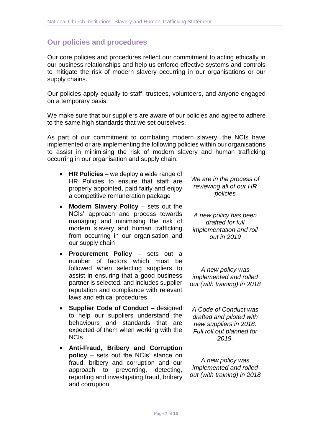#### <span id="page-6-0"></span>**Our policies and procedures**

Our core policies and procedures reflect our commitment to acting ethically in our business relationships and help us enforce effective systems and controls to mitigate the risk of modern slavery occurring in our organisations or our supply chains.

Our policies apply equally to staff, trustees, volunteers, and anyone engaged on a temporary basis.

We make sure that our suppliers are aware of our policies and agree to adhere to the same high standards that we set ourselves.

As part of our commitment to combating modern slavery, the NCIs have implemented or are implementing the following policies within our organisations to assist in minimising the risk of modern slavery and human trafficking occurring in our organisation and supply chain:

- **HR Policies** we deploy a wide range of HR Policies to ensure that staff are properly appointed, paid fairly and enjoy a competitive remuneration package
- **Modern Slavery Policy** sets out the NCIs' approach and process towards managing and minimising the risk of modern slavery and human trafficking from occurring in our organisation and our supply chain
- **Procurement Policy** sets out a number of factors which must be followed when selecting suppliers to assist in ensuring that a good business partner is selected, and includes supplier reputation and compliance with relevant laws and ethical procedures
- **Supplier Code of Conduct** designed to help our suppliers understand the behaviours and standards that are expected of them when working with the NCIs
- **Anti-Fraud, Bribery and Corruption policy** – sets out the NCIs' stance on fraud, bribery and corruption and our approach to preventing, detecting, reporting and investigating fraud, bribery and corruption

*We are in the process of reviewing all of our HR policies*

*A new policy has been drafted for full implementation and roll out in 2019*

*A new policy was implemented and rolled out (with training) in 2018*

*A Code of Conduct was drafted and piloted with new suppliers in 2018. Full roll out planned for 2019.*

*A new policy was implemented and rolled out (with training) in 2018*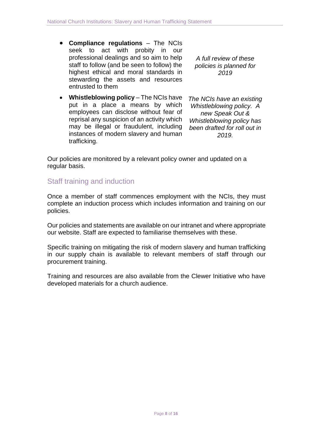- **Compliance regulations** The NCIs seek to act with probity in our professional dealings and so aim to help staff to follow (and be seen to follow) the highest ethical and moral standards in stewarding the assets and resources entrusted to them
- **Whistleblowing policy** The NCIs have put in a place a means by which employees can disclose without fear of reprisal any suspicion of an activity which may be illegal or fraudulent, including instances of modern slavery and human trafficking.

*A full review of these policies is planned for 2019*

*The NCIs have an existing Whistleblowing policy. A new Speak Out & Whistleblowing policy has been drafted for roll out in 2019.* 

Our policies are monitored by a relevant policy owner and updated on a regular basis.

## <span id="page-7-0"></span>Staff training and induction

Once a member of staff commences employment with the NCIs, they must complete an induction process which includes information and training on our policies.

Our policies and statements are available on our intranet and where appropriate our website. Staff are expected to familiarise themselves with these.

Specific training on mitigating the risk of modern slavery and human trafficking in our supply chain is available to relevant members of staff through our procurement training.

Training and resources are also available from the Clewer Initiative who have developed materials for a church audience.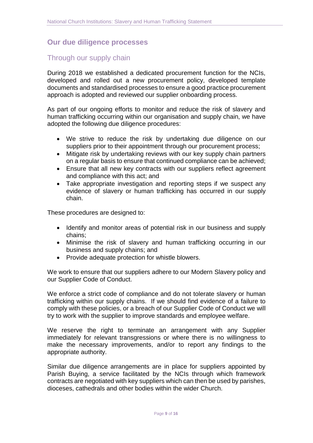#### <span id="page-8-0"></span>**Our due diligence processes**

#### Through our supply chain

During 2018 we established a dedicated procurement function for the NCIs, developed and rolled out a new procurement policy, developed template documents and standardised processes to ensure a good practice procurement approach is adopted and reviewed our supplier onboarding process.

As part of our ongoing efforts to monitor and reduce the risk of slavery and human trafficking occurring within our organisation and supply chain, we have adopted the following due diligence procedures:

- We strive to reduce the risk by undertaking due diligence on our suppliers prior to their appointment through our procurement process;
- Mitigate risk by undertaking reviews with our key supply chain partners on a regular basis to ensure that continued compliance can be achieved;
- Ensure that all new key contracts with our suppliers reflect agreement and compliance with this act; and
- Take appropriate investigation and reporting steps if we suspect any evidence of slavery or human trafficking has occurred in our supply chain.

These procedures are designed to:

- Identify and monitor areas of potential risk in our business and supply chains;
- Minimise the risk of slavery and human trafficking occurring in our business and supply chains; and
- Provide adequate protection for whistle blowers.

We work to ensure that our suppliers adhere to our Modern Slavery policy and our Supplier Code of Conduct.

We enforce a strict code of compliance and do not tolerate slavery or human trafficking within our supply chains. If we should find evidence of a failure to comply with these policies, or a breach of our Supplier Code of Conduct we will try to work with the supplier to improve standards and employee welfare.

We reserve the right to terminate an arrangement with any Supplier immediately for relevant transgressions or where there is no willingness to make the necessary improvements, and/or to report any findings to the appropriate authority.

Similar due diligence arrangements are in place for suppliers appointed by Parish Buying, a service facilitated by the NCIs through which framework contracts are negotiated with key suppliers which can then be used by parishes, dioceses, cathedrals and other bodies within the wider Church.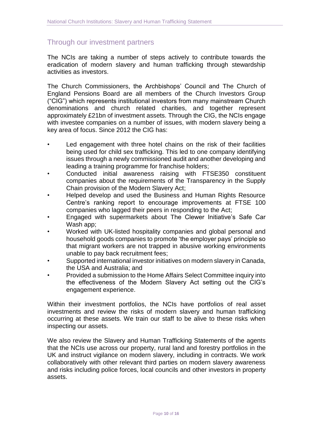## Through our investment partners

The NCIs are taking a number of steps actively to contribute towards the eradication of modern slavery and human trafficking through stewardship activities as investors.

The Church Commissioners, the Archbishops' Council and The Church of England Pensions Board are all members of the Church Investors Group ("CIG") which represents institutional investors from many mainstream Church denominations and church related charities, and together represent approximately £21bn of investment assets. Through the CIG, the NCIs engage with investee companies on a number of issues, with modern slavery being a key area of focus. Since 2012 the CIG has:

- Led engagement with three hotel chains on the risk of their facilities being used for child sex trafficking. This led to one company identifying issues through a newly commissioned audit and another developing and leading a training programme for franchise holders;
- Conducted initial awareness raising with FTSE350 constituent companies about the requirements of the Transparency in the Supply Chain provision of the Modern Slavery Act;
- Helped develop and used the Business and Human Rights Resource Centre's ranking report to encourage improvements at FTSE 100 companies who lagged their peers in responding to the Act;
- Engaged with supermarkets about The Clewer Initiative's Safe Car Wash app;
- Worked with UK-listed hospitality companies and global personal and household goods companies to promote 'the employer pays' principle so that migrant workers are not trapped in abusive working environments unable to pay back recruitment fees;
- Supported international investor initiatives on modern slavery in Canada, the USA and Australia; and
- Provided a submission to the Home Affairs Select Committee inquiry into the effectiveness of the Modern Slavery Act setting out the CIG's engagement experience.

Within their investment portfolios, the NCIs have portfolios of real asset investments and review the risks of modern slavery and human trafficking occurring at these assets. We train our staff to be alive to these risks when inspecting our assets.

We also review the Slavery and Human Trafficking Statements of the agents that the NCIs use across our property, rural land and forestry portfolios in the UK and instruct vigilance on modern slavery, including in contracts. We work collaboratively with other relevant third parties on modern slavery awareness and risks including police forces, local councils and other investors in property assets.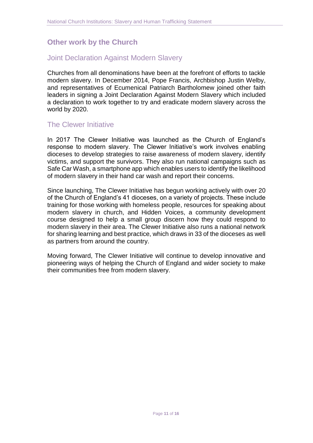## <span id="page-10-0"></span>**Other work by the Church**

#### Joint Declaration Against Modern Slavery

Churches from all denominations have been at the forefront of efforts to tackle modern slavery. In December 2014, Pope Francis, Archbishop Justin Welby, and representatives of Ecumenical Patriarch Bartholomew joined other faith leaders in signing a Joint Declaration Against Modern Slavery which included a declaration to work together to try and eradicate modern slavery across the world by 2020.

#### The Clewer Initiative

In 2017 The Clewer Initiative was launched as the Church of England's response to modern slavery. The Clewer Initiative's work involves enabling dioceses to develop strategies to raise awareness of modern slavery, identify victims, and support the survivors. They also run national campaigns such as Safe Car Wash, a smartphone app which enables users to identify the likelihood of modern slavery in their hand car wash and report their concerns.

Since launching, The Clewer Initiative has begun working actively with over 20 of the Church of England's 41 dioceses, on a variety of projects. These include training for those working with homeless people, resources for speaking about modern slavery in church, and Hidden Voices, a community development course designed to help a small group discern how they could respond to modern slavery in their area. The Clewer Initiative also runs a national network for sharing learning and best practice, which draws in 33 of the dioceses as well as partners from around the country.

Moving forward, The Clewer Initiative will continue to develop innovative and pioneering ways of helping the Church of England and wider society to make their communities free from modern slavery.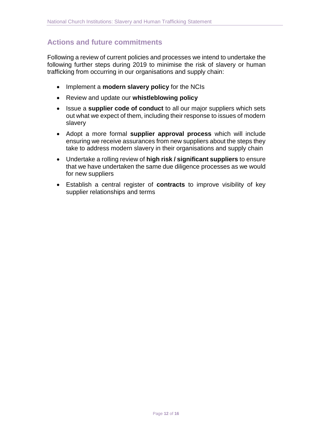# <span id="page-11-0"></span>**Actions and future commitments**

Following a review of current policies and processes we intend to undertake the following further steps during 2019 to minimise the risk of slavery or human trafficking from occurring in our organisations and supply chain:

- Implement a **modern slavery policy** for the NCIs
- Review and update our **whistleblowing policy**
- Issue a **supplier code of conduct** to all our major suppliers which sets out what we expect of them, including their response to issues of modern slavery
- Adopt a more formal **supplier approval process** which will include ensuring we receive assurances from new suppliers about the steps they take to address modern slavery in their organisations and supply chain
- Undertake a rolling review of **high risk / significant suppliers** to ensure that we have undertaken the same due diligence processes as we would for new suppliers
- Establish a central register of **contracts** to improve visibility of key supplier relationships and terms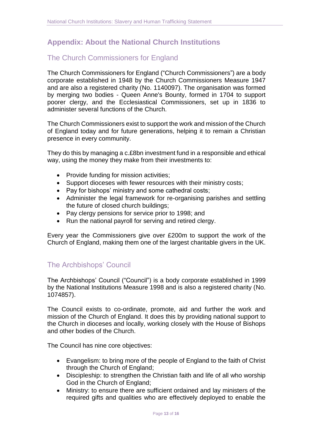# <span id="page-12-0"></span>**Appendix: About the National Church Institutions**

# The Church Commissioners for England

The Church Commissioners for England ("Church Commissioners") are a body corporate established in 1948 by the Church Commissioners Measure 1947 and are also a registered charity (No. 1140097). The organisation was formed by merging two bodies - Queen Anne's Bounty, formed in 1704 to support poorer clergy, and the Ecclesiastical Commissioners, set up in 1836 to administer several functions of the Church.

The Church Commissioners exist to support the work and mission of the Church of England today and for future generations, helping it to remain a Christian presence in every community.

They do this by managing a c.£8bn investment fund in a responsible and ethical way, using the money they make from their investments to:

- Provide funding for mission activities;
- Support dioceses with fewer resources with their ministry costs;
- Pay for bishops' ministry and some cathedral costs;
- Administer the legal framework for re-organising parishes and settling the future of closed church buildings;
- Pay clergy pensions for service prior to 1998; and
- Run the national payroll for serving and retired clergy.

Every year the Commissioners give over £200m to support the work of the Church of England, making them one of the largest charitable givers in the UK.

## The Archbishops' Council

The Archbishops' Council ("Council") is a body corporate established in 1999 by the National Institutions Measure 1998 and is also a registered charity (No. 1074857).

The Council exists to co-ordinate, promote, aid and further the work and mission of the Church of England. It does this by providing national support to the Church in dioceses and locally, working closely with the House of Bishops and other bodies of the Church.

The Council has nine core objectives:

- Evangelism: to bring more of the people of England to the faith of Christ through the Church of England;
- Discipleship: to strengthen the Christian faith and life of all who worship God in the Church of England;
- Ministry: to ensure there are sufficient ordained and lay ministers of the required gifts and qualities who are effectively deployed to enable the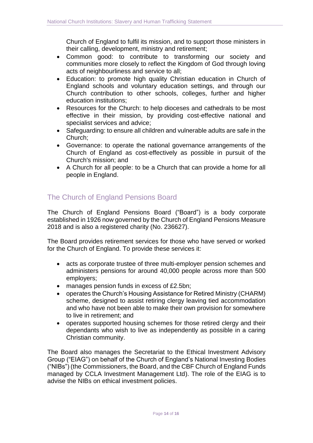Church of England to fulfil its mission, and to support those ministers in their calling, development, ministry and retirement;

- Common good: to contribute to transforming our society and communities more closely to reflect the Kingdom of God through loving acts of neighbourliness and service to all;
- Education: to promote high quality Christian education in Church of England schools and voluntary education settings, and through our Church contribution to other schools, colleges, further and higher education institutions;
- Resources for the Church: to help dioceses and cathedrals to be most effective in their mission, by providing cost-effective national and specialist services and advice;
- Safeguarding: to ensure all children and vulnerable adults are safe in the Church;
- Governance: to operate the national governance arrangements of the Church of England as cost-effectively as possible in pursuit of the Church's mission; and
- A Church for all people: to be a Church that can provide a home for all people in England.

## The Church of England Pensions Board

The Church of England Pensions Board ("Board") is a body corporate established in 1926 now governed by the Church of England Pensions Measure 2018 and is also a registered charity (No. 236627).

The Board provides retirement services for those who have served or worked for the Church of England. To provide these services it:

- acts as corporate trustee of three multi-employer pension schemes and administers pensions for around 40,000 people across more than 500 employers;
- manages pension funds in excess of £2.5bn;
- operates the Church's Housing Assistance for Retired Ministry (CHARM) scheme, designed to assist retiring clergy leaving tied accommodation and who have not been able to make their own provision for somewhere to live in retirement; and
- operates supported housing schemes for those retired clergy and their dependants who wish to live as independently as possible in a caring Christian community.

The Board also manages the Secretariat to the Ethical Investment Advisory Group ("EIAG") on behalf of the Church of England's National Investing Bodies ("NIBs") (the Commissioners, the Board, and the CBF Church of England Funds managed by CCLA Investment Management Ltd). The role of the EIAG is to advise the NIBs on ethical investment policies.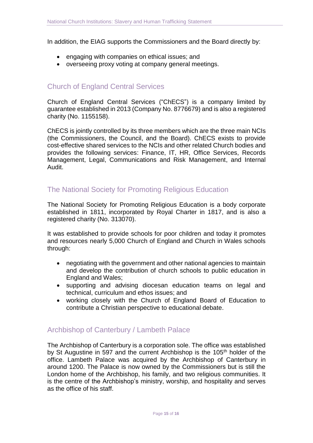In addition, the EIAG supports the Commissioners and the Board directly by:

- engaging with companies on ethical issues; and
- overseeing proxy voting at company general meetings.

### Church of England Central Services

Church of England Central Services ("ChECS") is a company limited by guarantee established in 2013 (Company No. 8776679) and is also a registered charity (No. 1155158).

ChECS is jointly controlled by its three members which are the three main NCIs (the Commissioners, the Council, and the Board). ChECS exists to provide cost-effective shared services to the NCIs and other related Church bodies and provides the following services: Finance, IT, HR, Office Services, Records Management, Legal, Communications and Risk Management, and Internal Audit.

## The National Society for Promoting Religious Education

The National Society for Promoting Religious Education is a body corporate established in 1811, incorporated by Royal Charter in 1817, and is also a registered charity (No. 313070).

It was established to provide schools for poor children and today it promotes and resources nearly 5,000 Church of England and Church in Wales schools through:

- negotiating with the government and other national agencies to maintain and develop the contribution of church schools to public education in England and Wales;
- supporting and advising diocesan education teams on legal and technical, curriculum and ethos issues; and
- working closely with the Church of England Board of Education to contribute a Christian perspective to educational debate.

#### Archbishop of Canterbury / Lambeth Palace

The Archbishop of Canterbury is a corporation sole. The office was established by St Augustine in 597 and the current Archbishop is the 105<sup>th</sup> holder of the office. Lambeth Palace was acquired by the Archbishop of Canterbury in around 1200. The Palace is now owned by the Commissioners but is still the London home of the Archbishop, his family, and two religious communities. It is the centre of the Archbishop's ministry, worship, and hospitality and serves as the office of his staff.